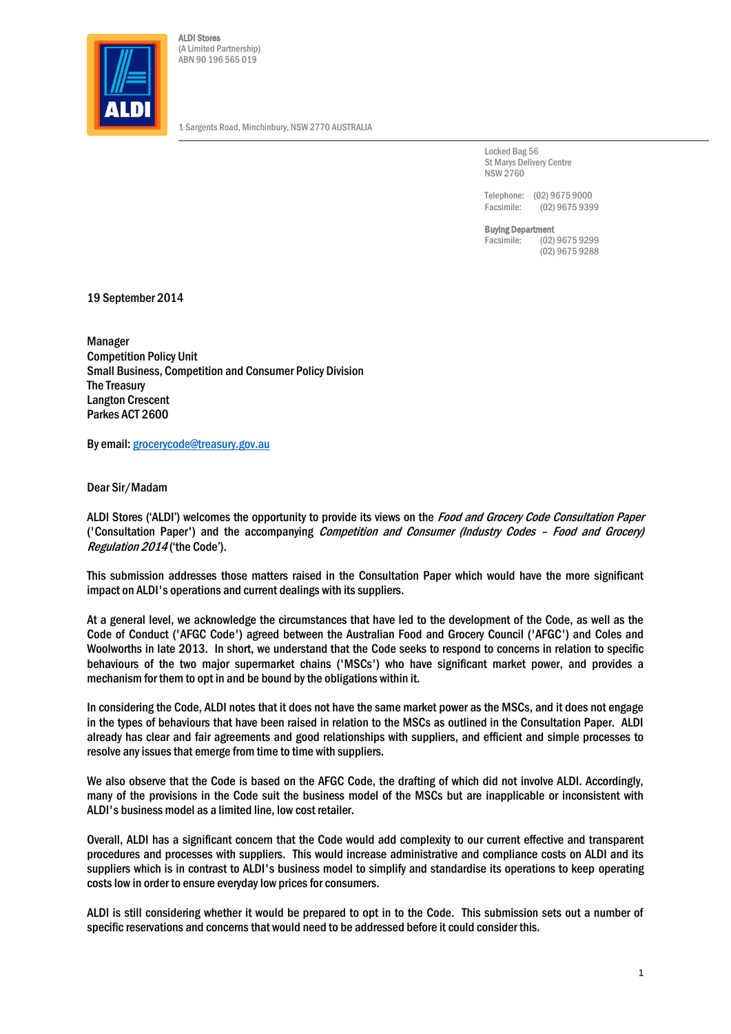

ALDI Stores (A Limited Partnership) ABN 90 196 565 019

1 Sargents Road, Minchinbury, NSW 2770 AUSTRALIA

Locked Bag 56 St Marys Delivery Centre NSW 2760

Telephone: (02) 9675 9000<br>Facsimile: (02) 9675 939  $(02)$  9675 9399

Buying Department

Facsimile: (02) 9675 9299 (02) 9675 9288

19 September 2014

Manager Competition Policy Unit Small Business, Competition and Consumer Policy Division The Treasury Langton Crescent Parkes ACT 2600

By email[: grocerycode@treasury.gov.au](mailto:grocerycode@treasury.gov.au)

Dear Sir/Madam

ALDI Stores ('ALDI') welcomes the opportunity to provide its views on the *Food and Grocery Code Consultation Paper* ('Consultation Paper') and the accompanying Competition and Consumer (Industry Codes – Food and Grocery) Regulation 2014 ('the Code').

This submission addresses those matters raised in the Consultation Paper which would have the more significant impact on ALDI's operations and current dealings with its suppliers.

At a general level, we acknowledge the circumstances that have led to the development of the Code, as well as the Code of Conduct ('AFGC Code') agreed between the Australian Food and Grocery Council ('AFGC') and Coles and Woolworths in late 2013. In short, we understand that the Code seeks to respond to concerns in relation to specific behaviours of the two major supermarket chains ('MSCs') who have significant market power, and provides a mechanism for them to opt in and be bound by the obligations within it.

In considering the Code, ALDI notes that it does not have the same market power as the MSCs, and it does not engage in the types of behaviours that have been raised in relation to the MSCs as outlined in the Consultation Paper. ALDI already has clear and fair agreements and good relationships with suppliers, and efficient and simple processes to resolve any issues that emerge from time to time with suppliers.

We also observe that the Code is based on the AFGC Code, the drafting of which did not involve ALDI. Accordingly, many of the provisions in the Code suit the business model of the MSCs but are inapplicable or inconsistent with ALDI's business model as a limited line, low cost retailer.

Overall, ALDI has a significant concern that the Code would add complexity to our current effective and transparent procedures and processes with suppliers. This would increase administrative and compliance costs on ALDI and its suppliers which is in contrast to ALDI's business model to simplify and standardise its operations to keep operating costs low in order to ensure everyday low prices for consumers.

ALDI is still considering whether it would be prepared to opt in to the Code. This submission sets out a number of specific reservations and concerns that would need to be addressed before it could consider this.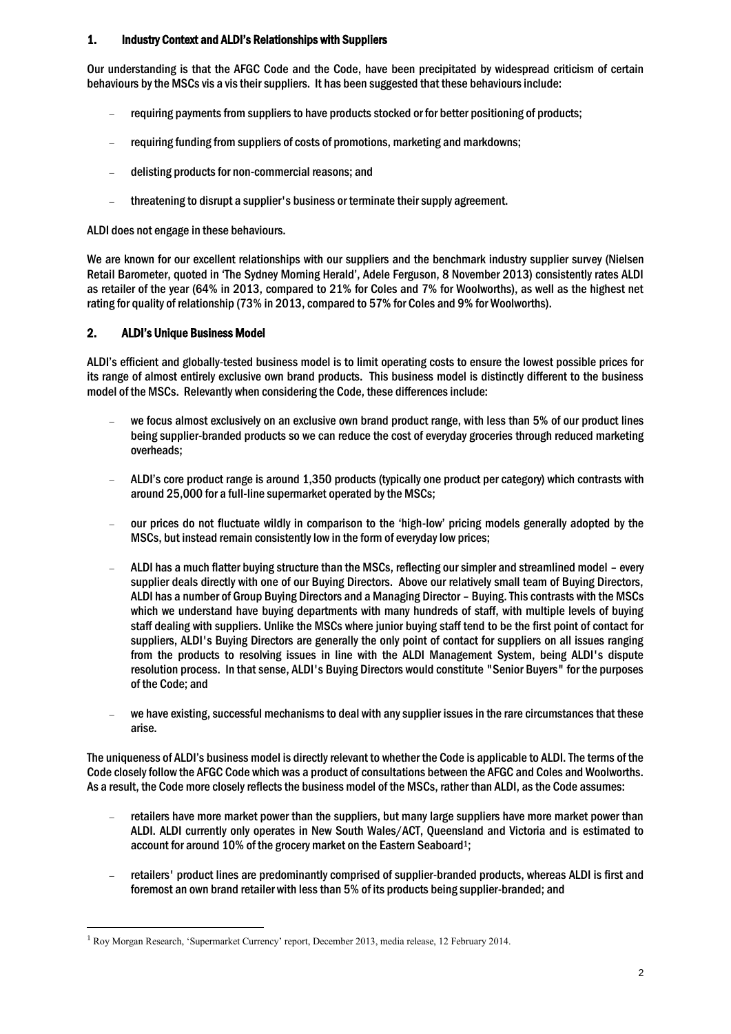#### 1. Industry Context and ALDI's Relationships with Suppliers

Our understanding is that the AFGC Code and the Code, have been precipitated by widespread criticism of certain behaviours by the MSCs vis a vis their suppliers. It has been suggested that these behaviours include:

- requiring payments from suppliers to have products stocked or for better positioning of products;
- requiring funding from suppliers of costs of promotions, marketing and markdowns;
- delisting products for non-commercial reasons; and
- threatening to disrupt a supplier's business or terminate their supply agreement.

ALDI does not engage in these behaviours.

We are known for our excellent relationships with our suppliers and the benchmark industry supplier survey (Nielsen Retail Barometer, quoted in 'The Sydney Morning Herald', Adele Ferguson, 8 November 2013) consistently rates ALDI as retailer of the year (64% in 2013, compared to 21% for Coles and 7% for Woolworths), as well as the highest net rating for quality of relationship (73% in 2013, compared to 57% for Coles and 9% for Woolworths).

# 2. ALDI's Unique Business Model

l

ALDI's efficient and globally-tested business model is to limit operating costs to ensure the lowest possible prices for its range of almost entirely exclusive own brand products. This business model is distinctly different to the business model of the MSCs. Relevantly when considering the Code, these differences include:

- we focus almost exclusively on an exclusive own brand product range, with less than 5% of our product lines being supplier-branded products so we can reduce the cost of everyday groceries through reduced marketing overheads;
- ALDI's core product range is around 1,350 products (typically one product per category) which contrasts with around 25,000 for a full-line supermarket operated by the MSCs;
- our prices do not fluctuate wildly in comparison to the 'high-low' pricing models generally adopted by the MSCs, but instead remain consistently low in the form of everyday low prices;
- ALDI has a much flatter buying structure than the MSCs, reflecting our simpler and streamlined model every supplier deals directly with one of our Buying Directors. Above our relatively small team of Buying Directors, ALDI has a number of Group Buying Directors and a Managing Director – Buying. This contrasts with the MSCs which we understand have buying departments with many hundreds of staff, with multiple levels of buying staff dealing with suppliers. Unlike the MSCs where junior buying staff tend to be the first point of contact for suppliers, ALDI's Buying Directors are generally the only point of contact for suppliers on all issues ranging from the products to resolving issues in line with the ALDI Management System, being ALDI's dispute resolution process. In that sense, ALDI's Buying Directors would constitute "Senior Buyers" for the purposes of the Code; and
- we have existing, successful mechanisms to deal with any supplier issues in the rare circumstances that these arise.

The uniqueness of ALDI's business model is directly relevant to whether the Code is applicable to ALDI. The terms of the Code closely follow the AFGC Code which was a product of consultations between the AFGC and Coles and Woolworths. As a result, the Code more closely reflects the business model of the MSCs, rather than ALDI, as the Code assumes:

- retailers have more market power than the suppliers, but many large suppliers have more market power than ALDI. ALDI currently only operates in New South Wales/ACT, Queensland and Victoria and is estimated to account for around 10% of the grocery market on the Eastern Seaboard<sup>1</sup>;
- retailers' product lines are predominantly comprised of supplier-branded products, whereas ALDI is first and foremost an own brand retailer with less than 5% of its products being supplier-branded; and

<sup>1</sup> Roy Morgan Research, 'Supermarket Currency' report, December 2013, media release, 12 February 2014.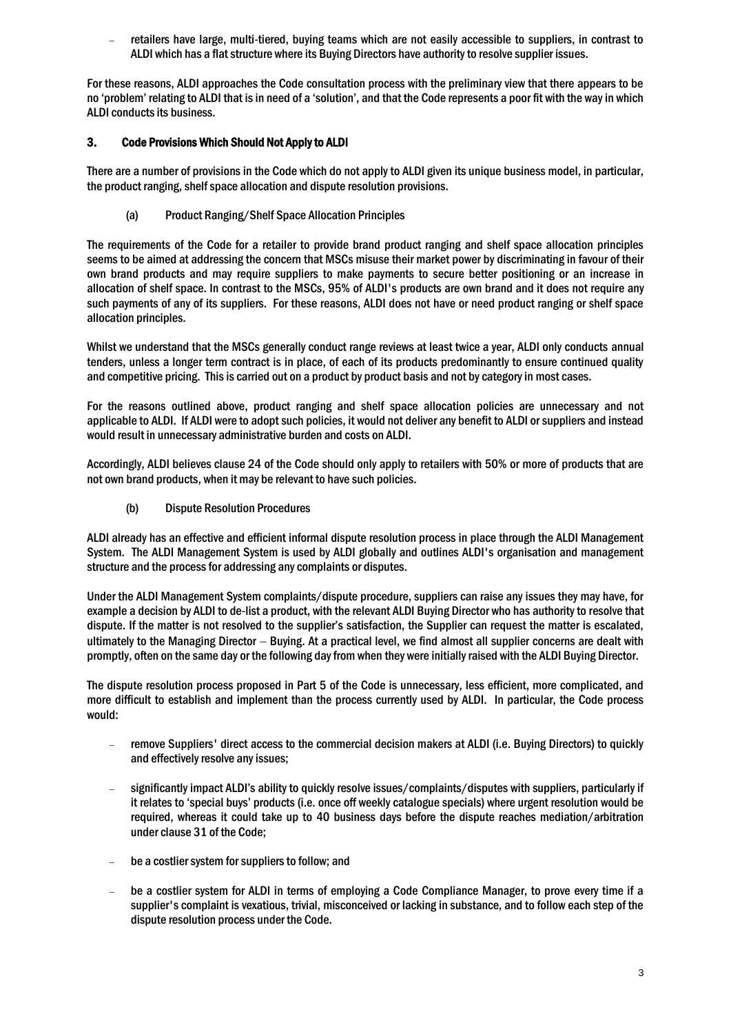retailers have large, multi-tiered, buying teams which are not easily accessible to suppliers, in contrast to ALDI which has a flat structure where its Buying Directors have authority to resolve supplier issues.

For these reasons, ALDI approaches the Code consultation process with the preliminary view that there appears to be no 'problem' relating to ALDI that is in need of a 'solution', and that the Code represents a poor fit with the way in which ALDI conducts its business.

## 3. Code Provisions Which Should Not Apply to ALDI

There are a number of provisions in the Code which do not apply to ALDI given its unique business model, in particular, the product ranging, shelf space allocation and dispute resolution provisions.

(a) Product Ranging/Shelf Space Allocation Principles

The requirements of the Code for a retailer to provide brand product ranging and shelf space allocation principles seems to be aimed at addressing the concern that MSCs misuse their market power by discriminating in favour of their own brand products and may require suppliers to make payments to secure better positioning or an increase in allocation of shelf space. In contrast to the MSCs, 95% of ALDI's products are own brand and it does not require any such payments of any of its suppliers. For these reasons, ALDI does not have or need product ranging or shelf space allocation principles.

Whilst we understand that the MSCs generally conduct range reviews at least twice a year, ALDI only conducts annual tenders, unless a longer term contract is in place, of each of its products predominantly to ensure continued quality and competitive pricing. This is carried out on a product by product basis and not by category in most cases.

For the reasons outlined above, product ranging and shelf space allocation policies are unnecessary and not applicable to ALDI. If ALDI were to adopt such policies, it would not deliver any benefit to ALDI or suppliers and instead would result in unnecessary administrative burden and costs on ALDI.

Accordingly, ALDI believes clause 24 of the Code should only apply to retailers with 50% or more of products that are not own brand products, when it may be relevant to have such policies.

(b) Dispute Resolution Procedures

ALDI already has an effective and efficient informal dispute resolution process in place through the ALDI Management System. The ALDI Management System is used by ALDI globally and outlines ALDI's organisation and management structure and the process for addressing any complaints or disputes.

Under the ALDI Management System complaints/dispute procedure, suppliers can raise any issues they may have, for example a decision by ALDI to de-list a product, with the relevant ALDI Buying Director who has authority to resolve that dispute. If the matter is not resolved to the supplier's satisfaction, the Supplier can request the matter is escalated, ultimately to the Managing Director  $-$  Buying. At a practical level, we find almost all supplier concerns are dealt with promptly, often on the same day or the following day from when they were initially raised with the ALDI Buying Director.

The dispute resolution process proposed in Part 5 of the Code is unnecessary, less efficient, more complicated, and more difficult to establish and implement than the process currently used by ALDI. In particular, the Code process would:

- remove Suppliers' direct access to the commercial decision makers at ALDI (i.e. Buying Directors) to quickly and effectively resolve any issues;
- significantly impact ALDI's ability to quickly resolve issues/complaints/disputes with suppliers, particularly if it relates to 'special buys' products (i.e. once off weekly catalogue specials) where urgent resolution would be required, whereas it could take up to 40 business days before the dispute reaches mediation/arbitration under clause 31 of the Code;
- be a costlier system for suppliers to follow; and
- be a costlier system for ALDI in terms of employing a Code Compliance Manager, to prove every time if a supplier's complaint is vexatious, trivial, misconceived or lacking in substance, and to follow each step of the dispute resolution process under the Code.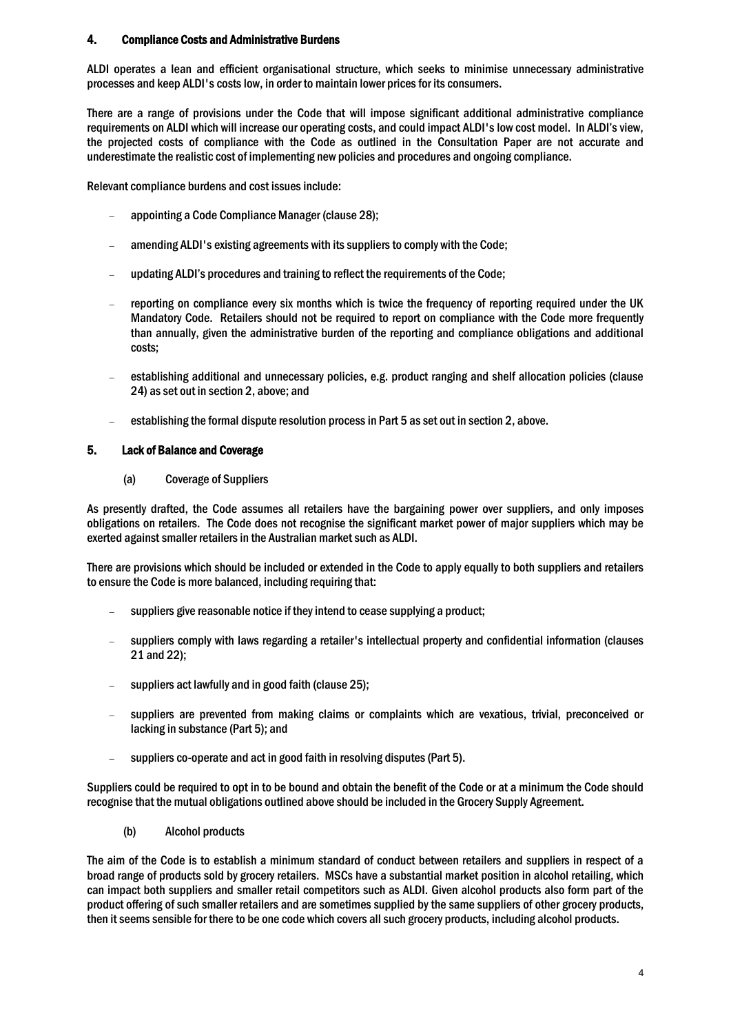# 4. Compliance Costs and Administrative Burdens

ALDI operates a lean and efficient organisational structure, which seeks to minimise unnecessary administrative processes and keep ALDI's costs low, in order to maintain lower prices for its consumers.

There are a range of provisions under the Code that will impose significant additional administrative compliance requirements on ALDI which will increase our operating costs, and could impact ALDI's low cost model. In ALDI's view, the projected costs of compliance with the Code as outlined in the Consultation Paper are not accurate and underestimate the realistic cost of implementing new policies and procedures and ongoing compliance.

Relevant compliance burdens and cost issues include:

- appointing a Code Compliance Manager (clause 28);
- amending ALDI's existing agreements with its suppliers to comply with the Code;
- updating ALDI's procedures and training to reflect the requirements of the Code;
- reporting on compliance every six months which is twice the frequency of reporting required under the UK Mandatory Code. Retailers should not be required to report on compliance with the Code more frequently than annually, given the administrative burden of the reporting and compliance obligations and additional costs;
- establishing additional and unnecessary policies, e.g. product ranging and shelf allocation policies (clause 24) as set out in section 2, above; and
- establishing the formal dispute resolution process in Part 5 as set out in section 2, above.

## 5. Lack of Balance and Coverage

(a) Coverage of Suppliers

As presently drafted, the Code assumes all retailers have the bargaining power over suppliers, and only imposes obligations on retailers. The Code does not recognise the significant market power of major suppliers which may be exerted against smaller retailers in the Australian market such as ALDI.

There are provisions which should be included or extended in the Code to apply equally to both suppliers and retailers to ensure the Code is more balanced, including requiring that:

- suppliers give reasonable notice if they intend to cease supplying a product;
- suppliers comply with laws regarding a retailer's intellectual property and confidential information (clauses 21 and 22);
- suppliers act lawfully and in good faith (clause 25);
- suppliers are prevented from making claims or complaints which are vexatious, trivial, preconceived or lacking in substance (Part 5); and
- suppliers co-operate and act in good faith in resolving disputes (Part 5).

Suppliers could be required to opt in to be bound and obtain the benefit of the Code or at a minimum the Code should recognise that the mutual obligations outlined above should be included in the Grocery Supply Agreement.

(b) Alcohol products

The aim of the Code is to establish a minimum standard of conduct between retailers and suppliers in respect of a broad range of products sold by grocery retailers. MSCs have a substantial market position in alcohol retailing, which can impact both suppliers and smaller retail competitors such as ALDI. Given alcohol products also form part of the product offering of such smaller retailers and are sometimes supplied by the same suppliers of other grocery products, then it seems sensible for there to be one code which covers all such grocery products, including alcohol products.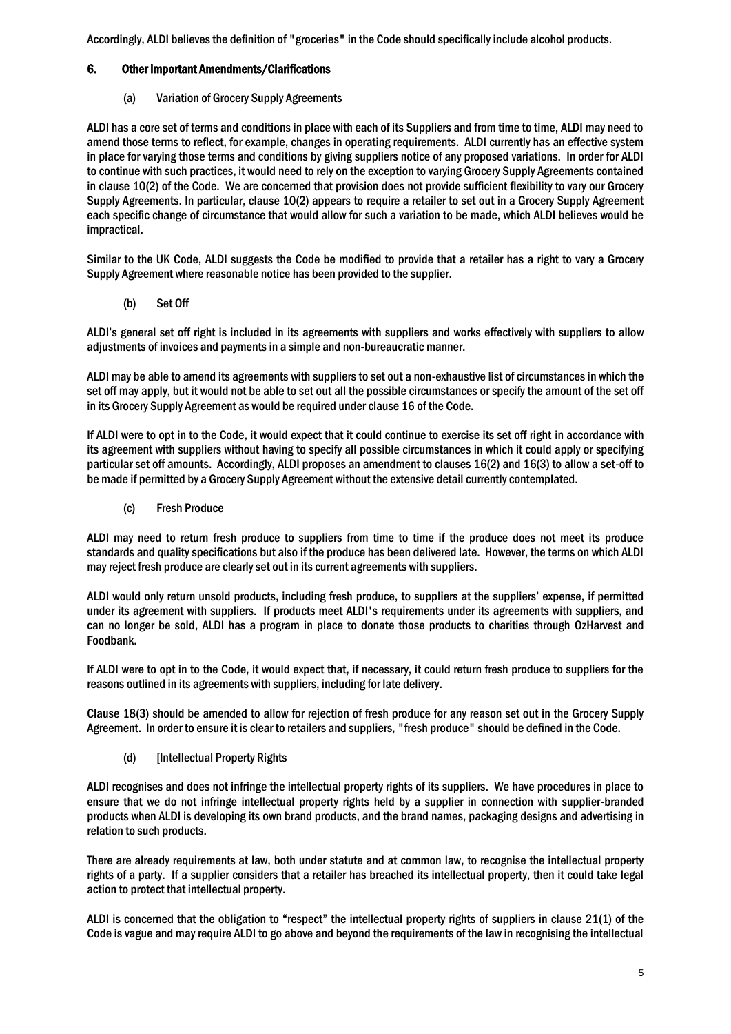Accordingly, ALDI believes the definition of "groceries" in the Code should specifically include alcohol products.

# 6. Other Important Amendments/Clarifications

(a) Variation of Grocery Supply Agreements

ALDI has a core set of terms and conditions in place with each of its Suppliers and from time to time, ALDI may need to amend those terms to reflect, for example, changes in operating requirements. ALDI currently has an effective system in place for varying those terms and conditions by giving suppliers notice of any proposed variations. In order for ALDI to continue with such practices, it would need to rely on the exception to varying Grocery Supply Agreements contained in clause 10(2) of the Code. We are concerned that provision does not provide sufficient flexibility to vary our Grocery Supply Agreements. In particular, clause 10(2) appears to require a retailer to set out in a Grocery Supply Agreement each specific change of circumstance that would allow for such a variation to be made, which ALDI believes would be impractical.

Similar to the UK Code, ALDI suggests the Code be modified to provide that a retailer has a right to vary a Grocery Supply Agreement where reasonable notice has been provided to the supplier.

(b) Set Off

ALDI's general set off right is included in its agreements with suppliers and works effectively with suppliers to allow adjustments of invoices and payments in a simple and non-bureaucratic manner.

ALDI may be able to amend its agreements with suppliers to set out a non-exhaustive list of circumstances in which the set off may apply, but it would not be able to set out all the possible circumstances or specify the amount of the set off in its Grocery Supply Agreement as would be required under clause 16 of the Code.

If ALDI were to opt in to the Code, it would expect that it could continue to exercise its set off right in accordance with its agreement with suppliers without having to specify all possible circumstances in which it could apply or specifying particular set off amounts. Accordingly, ALDI proposes an amendment to clauses 16(2) and 16(3) to allow a set-off to be made if permitted by a Grocery Supply Agreement without the extensive detail currently contemplated.

(c) Fresh Produce

ALDI may need to return fresh produce to suppliers from time to time if the produce does not meet its produce standards and quality specifications but also if the produce has been delivered late. However, the terms on which ALDI may reject fresh produce are clearly set out in its current agreements with suppliers.

ALDI would only return unsold products, including fresh produce, to suppliers at the suppliers' expense, if permitted under its agreement with suppliers. If products meet ALDI's requirements under its agreements with suppliers, and can no longer be sold, ALDI has a program in place to donate those products to charities through OzHarvest and Foodbank.

If ALDI were to opt in to the Code, it would expect that, if necessary, it could return fresh produce to suppliers for the reasons outlined in its agreements with suppliers, including for late delivery.

Clause 18(3) should be amended to allow for rejection of fresh produce for any reason set out in the Grocery Supply Agreement. In order to ensure it is clear to retailers and suppliers, "fresh produce" should be defined in the Code.

(d) [Intellectual Property Rights

ALDI recognises and does not infringe the intellectual property rights of its suppliers. We have procedures in place to ensure that we do not infringe intellectual property rights held by a supplier in connection with supplier-branded products when ALDI is developing its own brand products, and the brand names, packaging designs and advertising in relation to such products.

There are already requirements at law, both under statute and at common law, to recognise the intellectual property rights of a party. If a supplier considers that a retailer has breached its intellectual property, then it could take legal action to protect that intellectual property.

ALDI is concerned that the obligation to "respect" the intellectual property rights of suppliers in clause 21(1) of the Code is vague and may require ALDI to go above and beyond the requirements of the law in recognising the intellectual